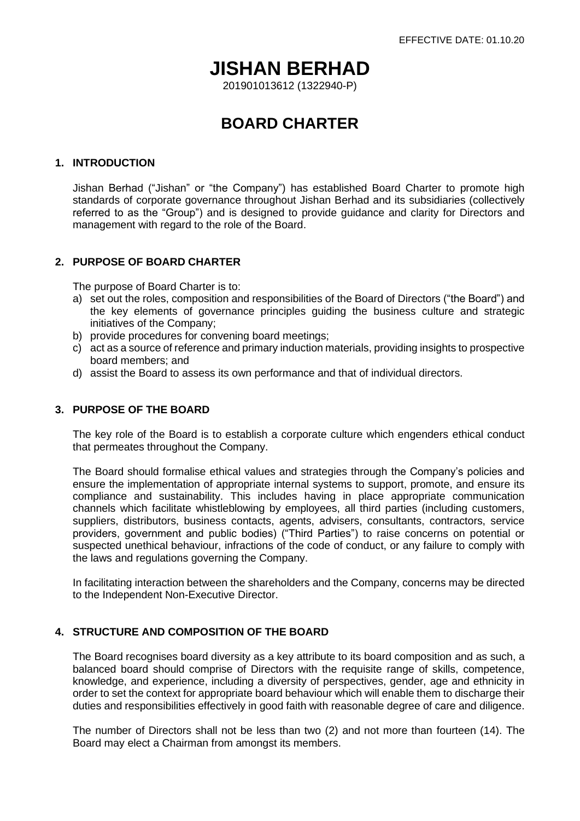# **JISHAN BERHAD**

201901013612 (1322940-P)

## **BOARD CHARTER**

#### **1. INTRODUCTION**

Jishan Berhad ("Jishan" or "the Company") has established Board Charter to promote high standards of corporate governance throughout Jishan Berhad and its subsidiaries (collectively referred to as the "Group") and is designed to provide guidance and clarity for Directors and management with regard to the role of the Board.

## **2. PURPOSE OF BOARD CHARTER**

The purpose of Board Charter is to:

- a) set out the roles, composition and responsibilities of the Board of Directors ("the Board") and the key elements of governance principles guiding the business culture and strategic initiatives of the Company;
- b) provide procedures for convening board meetings;
- c) act as a source of reference and primary induction materials, providing insights to prospective board members; and
- d) assist the Board to assess its own performance and that of individual directors.

#### **3. PURPOSE OF THE BOARD**

The key role of the Board is to establish a corporate culture which engenders ethical conduct that permeates throughout the Company.

The Board should formalise ethical values and strategies through the Company's policies and ensure the implementation of appropriate internal systems to support, promote, and ensure its compliance and sustainability. This includes having in place appropriate communication channels which facilitate whistleblowing by employees, all third parties (including customers, suppliers, distributors, business contacts, agents, advisers, consultants, contractors, service providers, government and public bodies) ("Third Parties") to raise concerns on potential or suspected unethical behaviour, infractions of the code of conduct, or any failure to comply with the laws and regulations governing the Company.

In facilitating interaction between the shareholders and the Company, concerns may be directed to the Independent Non-Executive Director.

## **4. STRUCTURE AND COMPOSITION OF THE BOARD**

The Board recognises board diversity as a key attribute to its board composition and as such, a balanced board should comprise of Directors with the requisite range of skills, competence, knowledge, and experience, including a diversity of perspectives, gender, age and ethnicity in order to set the context for appropriate board behaviour which will enable them to discharge their duties and responsibilities effectively in good faith with reasonable degree of care and diligence.

The number of Directors shall not be less than two (2) and not more than fourteen (14). The Board may elect a Chairman from amongst its members.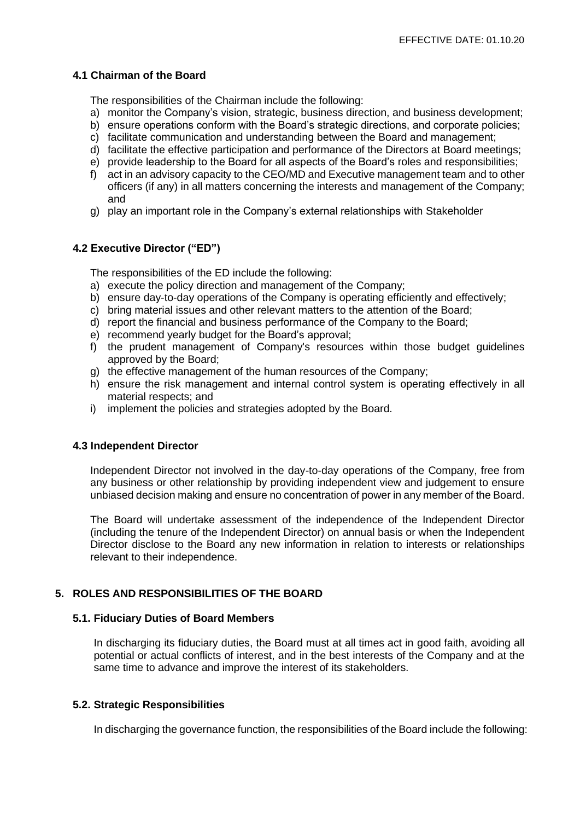#### **4.1 Chairman of the Board**

The responsibilities of the Chairman include the following:

- a) monitor the Company's vision, strategic, business direction, and business development;
- b) ensure operations conform with the Board's strategic directions, and corporate policies;
- c) facilitate communication and understanding between the Board and management;
- d) facilitate the effective participation and performance of the Directors at Board meetings;
- e) provide leadership to the Board for all aspects of the Board's roles and responsibilities;
- f) act in an advisory capacity to the CEO/MD and Executive management team and to other officers (if any) in all matters concerning the interests and management of the Company; and
- g) play an important role in the Company's external relationships with Stakeholder

## **4.2 Executive Director ("ED")**

The responsibilities of the ED include the following:

- a) execute the policy direction and management of the Company;
- b) ensure day-to-day operations of the Company is operating efficiently and effectively;
- c) bring material issues and other relevant matters to the attention of the Board;
- d) report the financial and business performance of the Company to the Board;
- e) recommend yearly budget for the Board's approval;
- f) the prudent management of Company's resources within those budget guidelines approved by the Board;
- g) the effective management of the human resources of the Company;
- h) ensure the risk management and internal control system is operating effectively in all material respects; and
- i) implement the policies and strategies adopted by the Board.

## **4.3 Independent Director**

Independent Director not involved in the day-to-day operations of the Company, free from any business or other relationship by providing independent view and judgement to ensure unbiased decision making and ensure no concentration of power in any member of the Board.

The Board will undertake assessment of the independence of the Independent Director (including the tenure of the Independent Director) on annual basis or when the Independent Director disclose to the Board any new information in relation to interests or relationships relevant to their independence.

## **5. ROLES AND RESPONSIBILITIES OF THE BOARD**

#### **5.1. Fiduciary Duties of Board Members**

In discharging its fiduciary duties, the Board must at all times act in good faith, avoiding all potential or actual conflicts of interest, and in the best interests of the Company and at the same time to advance and improve the interest of its stakeholders.

## **5.2. Strategic Responsibilities**

In discharging the governance function, the responsibilities of the Board include the following: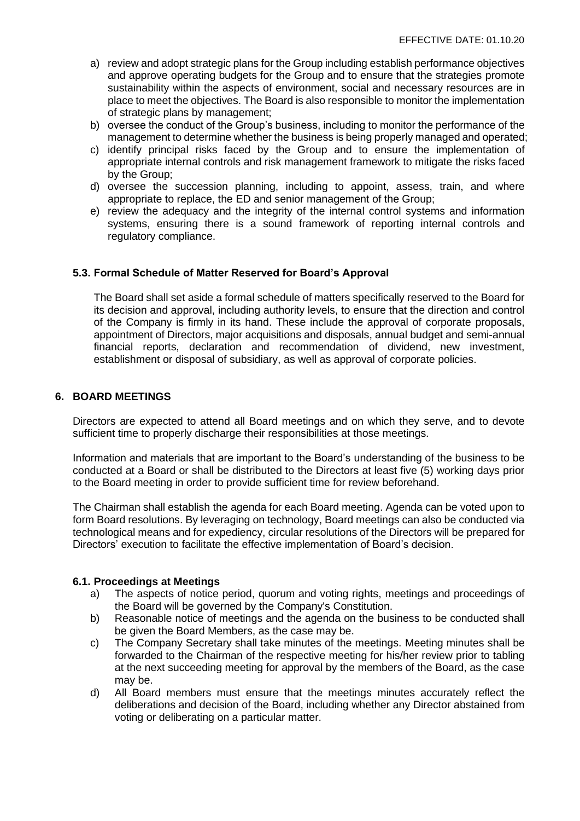- a) review and adopt strategic plans for the Group including establish performance objectives and approve operating budgets for the Group and to ensure that the strategies promote sustainability within the aspects of environment, social and necessary resources are in place to meet the objectives. The Board is also responsible to monitor the implementation of strategic plans by management;
- b) oversee the conduct of the Group's business, including to monitor the performance of the management to determine whether the business is being properly managed and operated;
- c) identify principal risks faced by the Group and to ensure the implementation of appropriate internal controls and risk management framework to mitigate the risks faced by the Group;
- d) oversee the succession planning, including to appoint, assess, train, and where appropriate to replace, the ED and senior management of the Group;
- e) review the adequacy and the integrity of the internal control systems and information systems, ensuring there is a sound framework of reporting internal controls and regulatory compliance.

## **5.3. Formal Schedule of Matter Reserved for Board's Approval**

The Board shall set aside a formal schedule of matters specifically reserved to the Board for its decision and approval, including authority levels, to ensure that the direction and control of the Company is firmly in its hand. These include the approval of corporate proposals, appointment of Directors, major acquisitions and disposals, annual budget and semi-annual financial reports, declaration and recommendation of dividend, new investment, establishment or disposal of subsidiary, as well as approval of corporate policies.

#### **6. BOARD MEETINGS**

Directors are expected to attend all Board meetings and on which they serve, and to devote sufficient time to properly discharge their responsibilities at those meetings.

Information and materials that are important to the Board's understanding of the business to be conducted at a Board or shall be distributed to the Directors at least five (5) working days prior to the Board meeting in order to provide sufficient time for review beforehand.

The Chairman shall establish the agenda for each Board meeting. Agenda can be voted upon to form Board resolutions. By leveraging on technology, Board meetings can also be conducted via technological means and for expediency, circular resolutions of the Directors will be prepared for Directors' execution to facilitate the effective implementation of Board's decision.

#### **6.1. Proceedings at Meetings**

- a) The aspects of notice period, quorum and voting rights, meetings and proceedings of the Board will be governed by the Company's Constitution.
- b) Reasonable notice of meetings and the agenda on the business to be conducted shall be given the Board Members, as the case may be.
- c) The Company Secretary shall take minutes of the meetings. Meeting minutes shall be forwarded to the Chairman of the respective meeting for his/her review prior to tabling at the next succeeding meeting for approval by the members of the Board, as the case may be.
- d) All Board members must ensure that the meetings minutes accurately reflect the deliberations and decision of the Board, including whether any Director abstained from voting or deliberating on a particular matter.